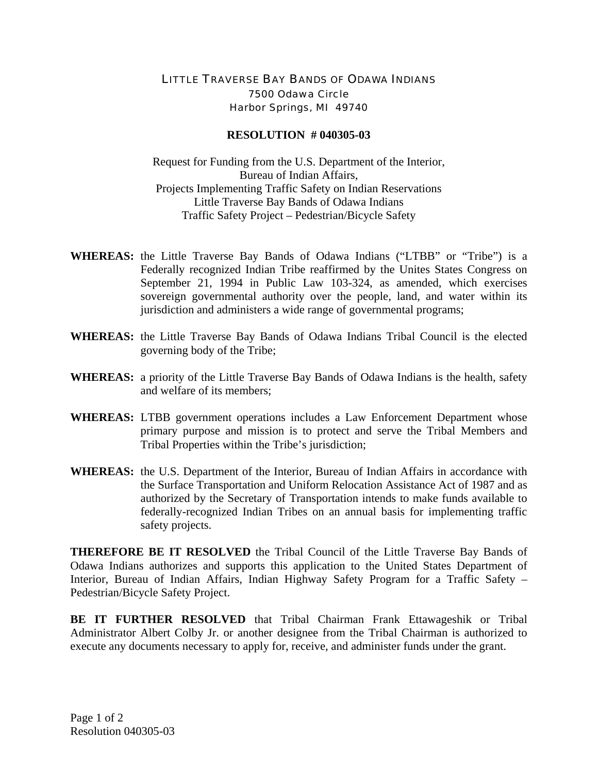## LITTLE TRAVERSE BAY BANDS OF ODAWA INDIANS 7500 Odawa Circle Harbor Springs, MI 49740

## **RESOLUTION # 040305-03**

Request for Funding from the U.S. Department of the Interior, Bureau of Indian Affairs, Projects Implementing Traffic Safety on Indian Reservations Little Traverse Bay Bands of Odawa Indians Traffic Safety Project – Pedestrian/Bicycle Safety

- **WHEREAS:** the Little Traverse Bay Bands of Odawa Indians ("LTBB" or "Tribe") is a Federally recognized Indian Tribe reaffirmed by the Unites States Congress on September 21, 1994 in Public Law 103-324, as amended, which exercises sovereign governmental authority over the people, land, and water within its jurisdiction and administers a wide range of governmental programs;
- **WHEREAS:** the Little Traverse Bay Bands of Odawa Indians Tribal Council is the elected governing body of the Tribe;
- **WHEREAS:** a priority of the Little Traverse Bay Bands of Odawa Indians is the health, safety and welfare of its members;
- **WHEREAS:** LTBB government operations includes a Law Enforcement Department whose primary purpose and mission is to protect and serve the Tribal Members and Tribal Properties within the Tribe's jurisdiction;
- **WHEREAS:** the U.S. Department of the Interior, Bureau of Indian Affairs in accordance with the Surface Transportation and Uniform Relocation Assistance Act of 1987 and as authorized by the Secretary of Transportation intends to make funds available to federally-recognized Indian Tribes on an annual basis for implementing traffic safety projects.

**THEREFORE BE IT RESOLVED** the Tribal Council of the Little Traverse Bay Bands of Odawa Indians authorizes and supports this application to the United States Department of Interior, Bureau of Indian Affairs, Indian Highway Safety Program for a Traffic Safety – Pedestrian/Bicycle Safety Project.

**BE IT FURTHER RESOLVED** that Tribal Chairman Frank Ettawageshik or Tribal Administrator Albert Colby Jr. or another designee from the Tribal Chairman is authorized to execute any documents necessary to apply for, receive, and administer funds under the grant.